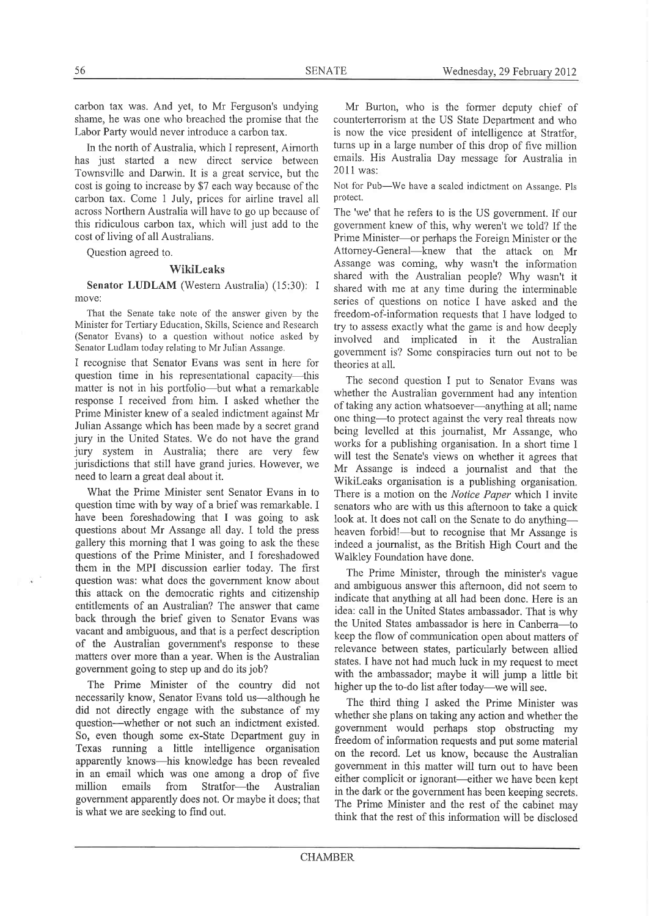carbon tax was. And yet, to Mr Ferguson's undying shame, he was one who breached the promise that the Labor Party would never introduce a carbon tax.

In the north of Australia, which I represent, Airnorth has just started a new direct service between Townsville and Darwin. It is a great service, but the cost is going to increase by \$7 each way because of the carbon tax. Come I July, prices for airline travel all across Northern Australia will have to go up because of this ridiculous carbon tax, which will just add to the cost of living of all Australians.

Question agreed to.

## Wikileaks

Senator LUDLAM (Westem Australia) (15:30); I move:

That the Senate take note of the answer given by the Minister for Tertiary Education, Skills, Science and Research (Senator Evans) to a question without notice asked by Senator Ludlam today relating to Mr Julian Assange.

I recognise that Senator Evans was sent in here for question time in his representational capacity-this matter is not in his portfolio—but what a remarkable response I received from him. I asked whether the Prime Minister knew of a sealed indictment against Mr Julian Assange which has been made by a secret grand jury in the United States. We do not have the grand jury system in Australia; there are very few jurisdictions that still have grand juries. However, we need to leam a great deal about it.

What the Prime Minister sent Senator Evans in to question time with by way of a brief was remarkable. I have been foreshadowing that I was going to ask questions about Mr Assange all day. I told the press gallery this morning that I was going to ask the these questions of the Prime Minister, and I foreshadowed them in the MPI discussion earlier today. The first question was: what does the government know about this attack on the democratic rights and citizenship entitlements of an Australian? The answer that came back through the brief given to Senator Evans was vacant and ambiguous, and that is a perfect description of the Australian government's response to these matters over more than a year. When is the Australian government going to step up and do its job?

The Prime Minister of the country did not necessarily know, Senator Evans told us-although he did not directly engage with the substance of my question-whether or not such an indictment existed. So, even though some ex-State Department guy in Texas running a little intelligence organisation apparently knows-his knowledge has been revealed in an email which was one among a drop of five Stratfor-the government apparently does not. Or maybe it does; that is what we are seeking to find out.

Mr Burton, who is the former deputy chief of counterterrorism at the US State Department and who is now the vice president of intelligence at Stratfor, turns up in a large number of this drop of five million emails. His Australia Day message for Australia in 2011 was:

Not for Pub-We have a sealed indictment on Assange. Pls protect.

The 'we' that he refers to is the US government. If our government knew of this, why weren't we told? If the Prime Minister----or perhaps the Foreign Minister or the Attorney-General-knew that the attack on Mr Assange was coming, why wasn't the information shared with the Australian people? Why wasn't it shared with me at any time during the interminable series of questions on notice I have asked and the freedom-of-information requests that I have lodged to try to assess exactly what the game is and how deeply involved and implìcated in it the Australian govemment is? Some conspiracies turn out not to be theories at all.

The second question I put to Senator Evans was whether the Australian govemment had any intention of taking any action whatsoever-anything at all; name one thing-to protect against the very real threats now being levelled at this journalist, Mr Assange, who works for a publishing organisation. In a short time I will test the Senate's views on whether it agrees that Mr Assange is indeed a joumalist and that the Wikileaks organisation is a publishing organisation. There is a motion on the Notice Paper which I invite senators who are with us this aftemoon to take a quick look at. It does not call on the Senate to do anythingheaven forbid!—but to recognise that Mr Assange is indeed a journalist, as the British High Court and the Walkley Foundation have done.

The Prime Minister, through the minister's vague and ambiguous answer this afternoon, did not seem to indicate that anything at all had been done. Here is an idea: call in the United States ambassador. That is why the United States ambassador is here in Canberra-to keep the flow of communication open about matters of relevance between states, particularly between allied states. I have not had much luck in my request to meet with the ambassador; maybe it will jump a little bit higher up the to-do list after today—we will see.

The third thing I asked the Prime Minister was whether she plans on taking any action and whether the government would perhaps stop obstructing my freedom of information requests and put some material on the record. Let us know, because the Australian government in this matter will turn out to have been either complicit or ignorant—either we have been kept in the dark or the government has been keeping secrets. The Prime Minister and the rest of the cabinet may think that the rest of this information will be disclosed